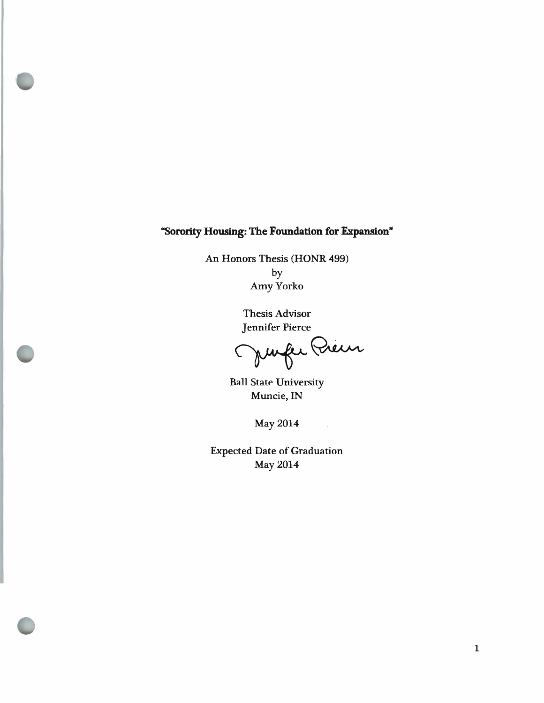## "Sorority Housing: The Foundation for Expansion"

An Honors Thesis (HONR 499) by AmyYorko

> Thesis Advisor Jennifer Pierce

Junfer Preur

Ball State University Muncie, IN

May 2014

Expected Date of Graduation May 2014